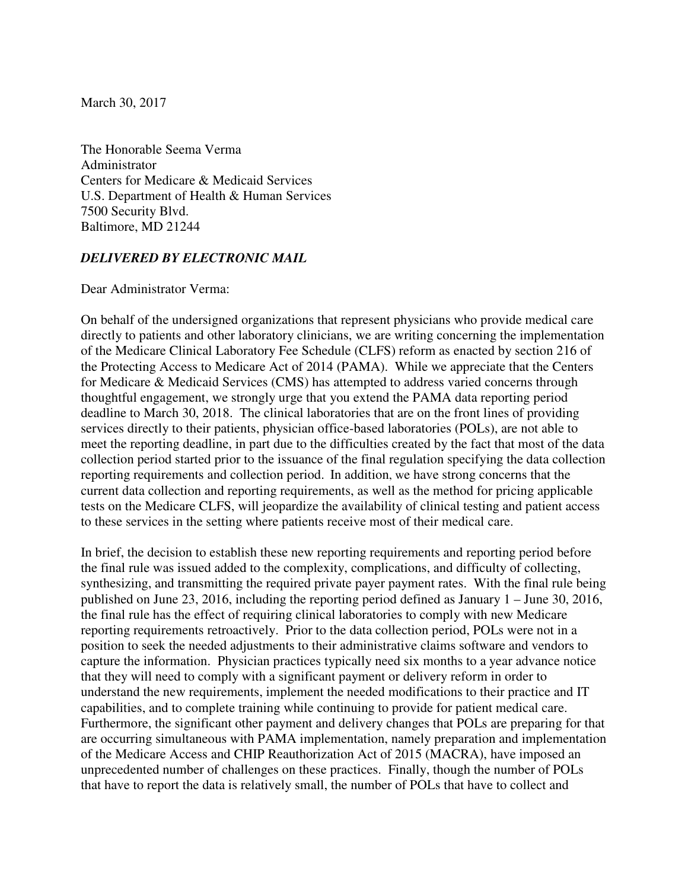March 30, 2017

The Honorable Seema Verma Administrator Centers for Medicare & Medicaid Services U.S. Department of Health & Human Services 7500 Security Blvd. Baltimore, MD 21244

## *DELIVERED BY ELECTRONIC MAIL*

Dear Administrator Verma:

On behalf of the undersigned organizations that represent physicians who provide medical care directly to patients and other laboratory clinicians, we are writing concerning the implementation of the Medicare Clinical Laboratory Fee Schedule (CLFS) reform as enacted by section 216 of the Protecting Access to Medicare Act of 2014 (PAMA). While we appreciate that the Centers for Medicare & Medicaid Services (CMS) has attempted to address varied concerns through thoughtful engagement, we strongly urge that you extend the PAMA data reporting period deadline to March 30, 2018. The clinical laboratories that are on the front lines of providing services directly to their patients, physician office-based laboratories (POLs), are not able to meet the reporting deadline, in part due to the difficulties created by the fact that most of the data collection period started prior to the issuance of the final regulation specifying the data collection reporting requirements and collection period. In addition, we have strong concerns that the current data collection and reporting requirements, as well as the method for pricing applicable tests on the Medicare CLFS, will jeopardize the availability of clinical testing and patient access to these services in the setting where patients receive most of their medical care.

In brief, the decision to establish these new reporting requirements and reporting period before the final rule was issued added to the complexity, complications, and difficulty of collecting, synthesizing, and transmitting the required private payer payment rates. With the final rule being published on June 23, 2016, including the reporting period defined as January 1 – June 30, 2016, the final rule has the effect of requiring clinical laboratories to comply with new Medicare reporting requirements retroactively. Prior to the data collection period, POLs were not in a position to seek the needed adjustments to their administrative claims software and vendors to capture the information. Physician practices typically need six months to a year advance notice that they will need to comply with a significant payment or delivery reform in order to understand the new requirements, implement the needed modifications to their practice and IT capabilities, and to complete training while continuing to provide for patient medical care. Furthermore, the significant other payment and delivery changes that POLs are preparing for that are occurring simultaneous with PAMA implementation, namely preparation and implementation of the Medicare Access and CHIP Reauthorization Act of 2015 (MACRA), have imposed an unprecedented number of challenges on these practices. Finally, though the number of POLs that have to report the data is relatively small, the number of POLs that have to collect and